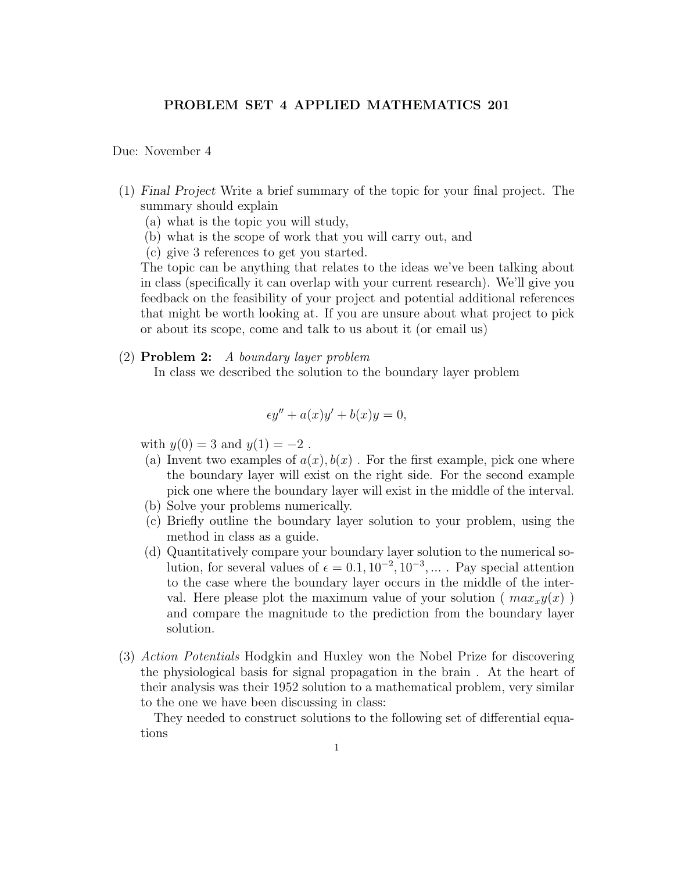## PROBLEM SET 4 APPLIED MATHEMATICS 201

## Due: November 4

- (1) Final Project Write a brief summary of the topic for your final project. The summary should explain
	- (a) what is the topic you will study,
	- (b) what is the scope of work that you will carry out, and
	- (c) give 3 references to get you started.

The topic can be anything that relates to the ideas we've been talking about in class (specifically it can overlap with your current research). We'll give you feedback on the feasibility of your project and potential additional references that might be worth looking at. If you are unsure about what project to pick or about its scope, come and talk to us about it (or email us)

(2) Problem 2: A boundary layer problem In class we described the solution to the boundary layer problem

$$
\epsilon y'' + a(x)y' + b(x)y = 0,
$$

with  $y(0) = 3$  and  $y(1) = -2$ .

- (a) Invent two examples of  $a(x)$ ,  $b(x)$ . For the first example, pick one where the boundary layer will exist on the right side. For the second example pick one where the boundary layer will exist in the middle of the interval.
- (b) Solve your problems numerically.
- (c) Briefly outline the boundary layer solution to your problem, using the method in class as a guide.
- (d) Quantitatively compare your boundary layer solution to the numerical solution, for several values of  $\epsilon = 0.1, 10^{-2}, 10^{-3}, ...$ . Pay special attention to the case where the boundary layer occurs in the middle of the interval. Here please plot the maximum value of your solution ( $max_x y(x)$ ) and compare the magnitude to the prediction from the boundary layer solution.
- (3) Action Potentials Hodgkin and Huxley won the Nobel Prize for discovering the physiological basis for signal propagation in the brain . At the heart of their analysis was their 1952 solution to a mathematical problem, very similar to the one we have been discussing in class:

They needed to construct solutions to the following set of differential equations